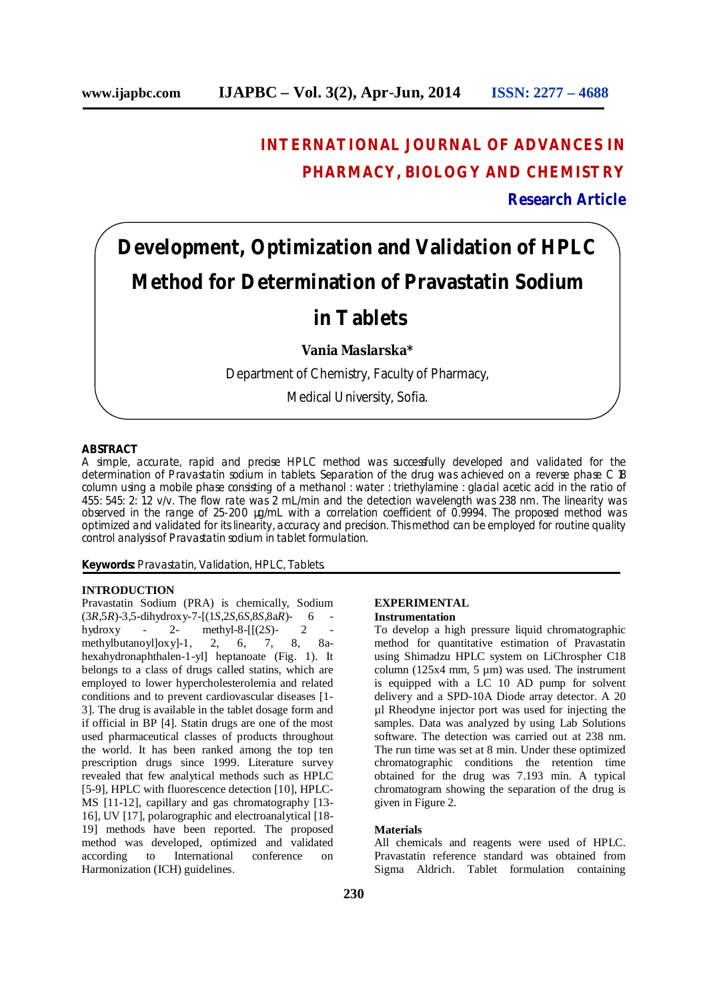# **INTERNATIONAL JOURNAL OF ADVANCES IN PHARMACY, BIOLOGY AND CHEMISTRY**

**Research Article**

# **Development, Optimization and Validation of HPLC Method for Determination of Pravastatin Sodium in Tablets Vania Maslarska\*** Department of Chemistry, Faculty of Pharmacy, Medical University, Sofia.

## **ABSTRACT**

A simple, accurate, rapid and precise HPLC method was successfully developed and validated for the determination of Pravastatin sodium in tablets. Separation of the drug was achieved on a reverse phase C 18 column using a mobile phase consisting of a methanol : water : triethylamine : glacial acetic acid in the ratio of 455: 545: 2: 1.2 v/v. The flow rate was 2 mL/min and the detection wavelength was 238 nm. The linearity was observed in the range of 25-200 µg/mL with a correlation coefficient of 0.9994. The proposed method was optimized and validated for its linearity, accuracy and precision. This method can be employed for routine quality control analysis of Pravastatin sodium in tablet formulation.

**Keywords:** Pravastatin, Validation, HPLC, Tablets.

# **INTRODUCTION**

Pravastatin Sodium (PRA) is chemically, Sodium (3*R*,5*R*)-3,5-dihydroxy-7-[(1*S*,2*S*,6*S*,8*S*,8a*R*)- 6 hydroxy - 2- methyl-8-[[(2*S*)methylbutanoyl]oxy]-1, 2, 6, 7, 8, 8ahexahydronaphthalen-1-yl] heptanoate (Fig. 1). It belongs to a class of drugs called statins, which are employed to lower hypercholesterolemia and related conditions and to prevent cardiovascular diseases [1- 3]. The drug is available in the tablet dosage form and if official in BP [4]. Statin drugs are one of the most used pharmaceutical classes of products throughout the world. It has been ranked among the top ten prescription drugs since 1999. Literature survey revealed that few analytical methods such as HPLC [5-9], HPLC with fluorescence detection [10], HPLC-MS [11-12], capillary and gas chromatography [13- 16], UV [17], polarographic and electroanalytical [18- 19] methods have been reported. The proposed method was developed, optimized and validated according to International conference on Harmonization (ICH) guidelines.

#### **EXPERIMENTAL Instrumentation**

To develop a high pressure liquid chromatographic method for quantitative estimation of Pravastatin using Shimadzu HPLC system on LiChrospher C18 column (125x4 mm, 5  $\mu$ m) was used. The instrument is equipped with a LC 10 AD pump for solvent delivery and a SPD-10A Diode array detector. A 20 µl Rheodyne injector port was used for injecting the samples. Data was analyzed by using Lab Solutions software. The detection was carried out at 238 nm. The run time was set at 8 min. Under these optimized chromatographic conditions the retention time obtained for the drug was 7.193 min. A typical chromatogram showing the separation of the drug is given in Figure 2.

#### **Materials**

All chemicals and reagents were used of HPLC. Pravastatin reference standard was obtained from Sigma Aldrich. Tablet formulation containing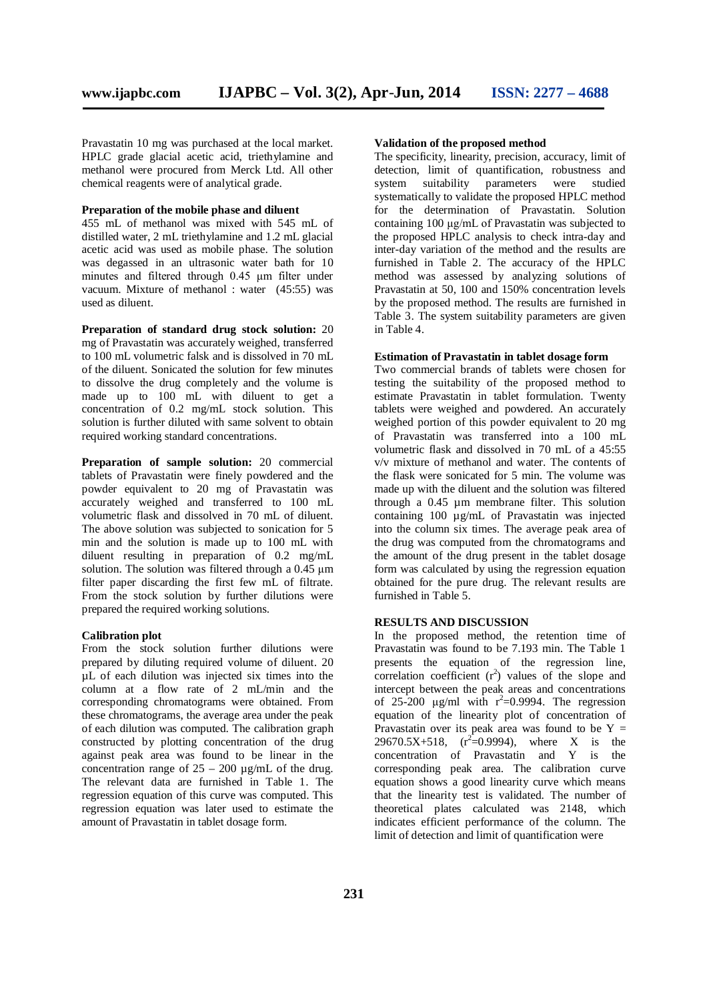Pravastatin 10 mg was purchased at the local market. HPLC grade glacial acetic acid, triethylamine and methanol were procured from Merck Ltd. All other chemical reagents were of analytical grade.

#### **Preparation of the mobile phase and diluent**

455 mL of methanol was mixed with 545 mL of distilled water, 2 mL triethylamine and 1.2 mL glacial acetic acid was used as mobile phase. The solution was degassed in an ultrasonic water bath for 10 minutes and filtered through 0.45 μm filter under vacuum. Mixture of methanol : water (45:55) was used as diluent.

**Preparation of standard drug stock solution:** 20 mg of Pravastatin was accurately weighed, transferred to 100 mL volumetric falsk and is dissolved in 70 mL of the diluent. Sonicated the solution for few minutes to dissolve the drug completely and the volume is made up to 100 mL with diluent to get a concentration of 0.2 mg/mL stock solution. This solution is further diluted with same solvent to obtain required working standard concentrations.

**Preparation of sample solution:** 20 commercial tablets of Pravastatin were finely powdered and the powder equivalent to 20 mg of Pravastatin was accurately weighed and transferred to 100 mL volumetric flask and dissolved in 70 mL of diluent. The above solution was subjected to sonication for 5 min and the solution is made up to 100 mL with diluent resulting in preparation of 0.2 mg/mL solution. The solution was filtered through a 0.45 μm filter paper discarding the first few mL of filtrate. From the stock solution by further dilutions were prepared the required working solutions.

#### **Calibration plot**

From the stock solution further dilutions were prepared by diluting required volume of diluent. 20 µL of each dilution was injected six times into the column at a flow rate of 2 mL/min and the corresponding chromatograms were obtained. From these chromatograms, the average area under the peak of each dilution was computed. The calibration graph constructed by plotting concentration of the drug against peak area was found to be linear in the concentration range of  $25 - 200 \mu g/mL$  of the drug. The relevant data are furnished in Table 1. The regression equation of this curve was computed. This regression equation was later used to estimate the amount of Pravastatin in tablet dosage form.

#### **Validation of the proposed method**

The specificity, linearity, precision, accuracy, limit of detection, limit of quantification, robustness and system suitability parameters were studied systematically to validate the proposed HPLC method for the determination of Pravastatin. Solution containing 100 μg/mL of Pravastatin was subjected to the proposed HPLC analysis to check intra-day and inter-day variation of the method and the results are furnished in Table 2. The accuracy of the HPLC method was assessed by analyzing solutions of Pravastatin at 50, 100 and 150% concentration levels by the proposed method. The results are furnished in Table 3. The system suitability parameters are given in Table 4.

## **Estimation of Pravastatin in tablet dosage form**

Two commercial brands of tablets were chosen for testing the suitability of the proposed method to estimate Pravastatin in tablet formulation. Twenty tablets were weighed and powdered. An accurately weighed portion of this powder equivalent to 20 mg of Pravastatin was transferred into a 100 mL volumetric flask and dissolved in 70 mL of a 45:55 v/v mixture of methanol and water. The contents of the flask were sonicated for 5 min. The volume was made up with the diluent and the solution was filtered through a 0.45 µm membrane filter. This solution containing 100 µg/mL of Pravastatin was injected into the column six times. The average peak area of the drug was computed from the chromatograms and the amount of the drug present in the tablet dosage form was calculated by using the regression equation obtained for the pure drug. The relevant results are furnished in Table 5.

# **RESULTS AND DISCUSSION**

In the proposed method, the retention time of Pravastatin was found to be 7.193 min. The Table 1 presents the equation of the regression line, correlation coefficient  $(r^2)$  values of the slope and intercept between the peak areas and concentrations of 25-200  $\mu$ g/ml with r<sup>2</sup>=0.9994. The regression equation of the linearity plot of concentration of Pravastatin over its peak area was found to be  $Y =$ 29670.5X+518,  $(r^2=0.9994)$ , where X is the concentration of Pravastatin and Y is the corresponding peak area. The calibration curve equation shows a good linearity curve which means that the linearity test is validated. The number of theoretical plates calculated was 2148, which indicates efficient performance of the column. The limit of detection and limit of quantification were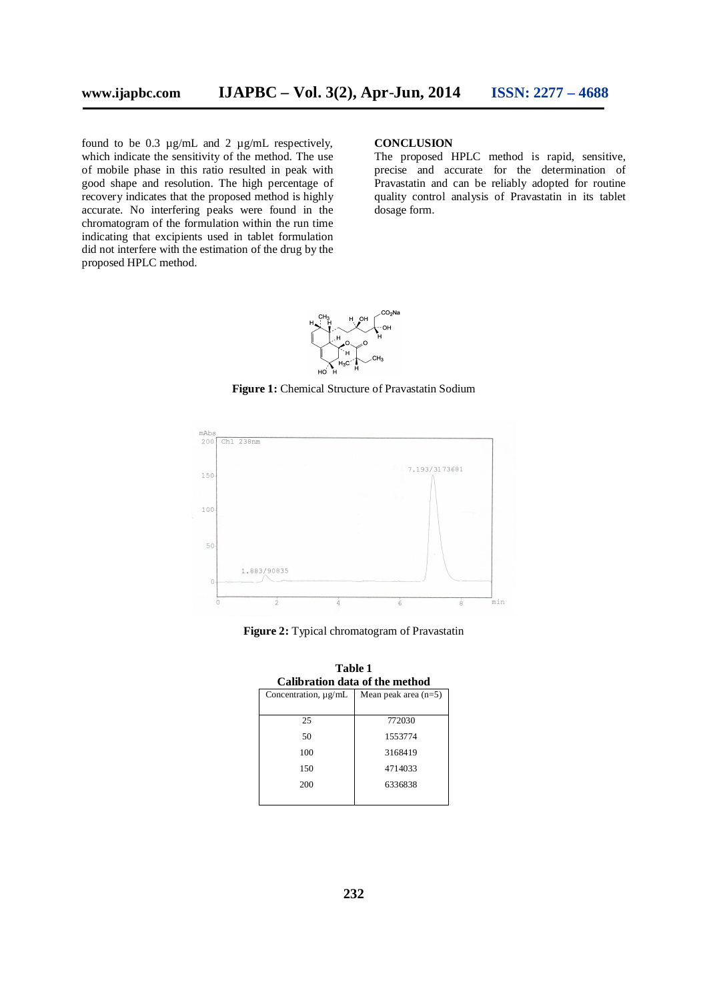found to be 0.3 µg/mL and 2 µg/mL respectively, which indicate the sensitivity of the method. The use of mobile phase in this ratio resulted in peak with good shape and resolution. The high percentage of recovery indicates that the proposed method is highly accurate. No interfering peaks were found in the chromatogram of the formulation within the run time indicating that excipients used in tablet formulation did not interfere with the estimation of the drug by the proposed HPLC method.

#### **CONCLUSION**

The proposed HPLC method is rapid, sensitive, precise and accurate for the determination of Pravastatin and can be reliably adopted for routine quality control analysis of Pravastatin in its tablet dosage form.



**Figure 1:** Chemical Structure of Pravastatin Sodium



**Figure 2:** Typical chromatogram of Pravastatin

| Calibration data of the method |                        |  |  |
|--------------------------------|------------------------|--|--|
| Concentration, $\mu$ g/mL      | Mean peak area $(n=5)$ |  |  |
| 25                             | 772030                 |  |  |
| 50                             | 1553774                |  |  |
| 100                            | 3168419                |  |  |
| 150                            | 4714033                |  |  |
| 200                            | 6336838                |  |  |
|                                |                        |  |  |

**Table 1 Calibration data of the method**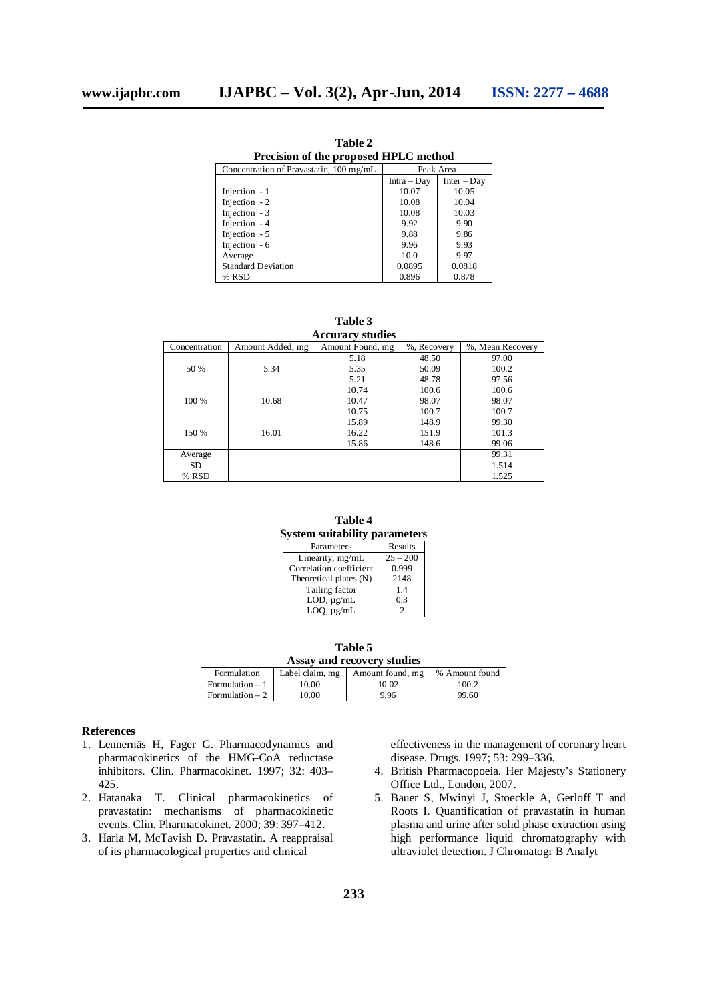**Table 2 Precision of the proposed HPLC method**

| Concentration of Pravastatin, 100 mg/mL | Peak Area   |               |
|-----------------------------------------|-------------|---------------|
|                                         | Intra – Day | $Inter - Day$ |
| Injection $-1$                          | 10.07       | 10.05         |
| Injection - 2                           | 10.08       | 10.04         |
| Injection - 3                           | 10.08       | 10.03         |
| Injection - 4                           | 9.92        | 9.90          |
| Injection - 5                           | 9.88        | 9.86          |
| Injection - 6                           | 9.96        | 9.93          |
| Average                                 | 10.0        | 9.97          |
| <b>Standard Deviation</b>               | 0.0895      | 0.0818        |
| % RSD                                   | 0.896       | 0.878         |

**Table 3**

| <b>Accuracy studies</b> |                  |                  |             |                  |  |  |
|-------------------------|------------------|------------------|-------------|------------------|--|--|
| Concentration           | Amount Added, mg | Amount Found, mg | %, Recovery | %, Mean Recovery |  |  |
| 50 %<br>5.34            | 5.18             | 48.50            | 97.00       |                  |  |  |
|                         |                  | 5.35             | 50.09       | 100.2            |  |  |
|                         | 5.21             | 48.78            | 97.56       |                  |  |  |
|                         |                  | 10.74            | 100.6       | 100.6            |  |  |
| 100 %<br>10.68          | 10.47            | 98.07            | 98.07       |                  |  |  |
|                         | 10.75            | 100.7            | 100.7       |                  |  |  |
|                         |                  | 15.89            | 148.9       | 99.30            |  |  |
| 150 %<br>16.01          | 16.22            | 151.9            | 101.3       |                  |  |  |
|                         | 15.86            | 148.6            | 99.06       |                  |  |  |
| Average                 |                  |                  |             | 99.31            |  |  |
| <b>SD</b>               |                  |                  |             | 1.514            |  |  |
| % RSD                   |                  |                  |             | 1.525            |  |  |

**Table 4 System suitability parameters**

| Parameters              | Results    |
|-------------------------|------------|
| Linearity, mg/mL        | $25 - 200$ |
| Correlation coefficient | 0.999      |
| Theoretical plates (N)  | 2148       |
| Tailing factor          | 14         |
| $LOD, \mu g/mL$         | 0.3        |
| $LOQ, \mu g/mL$         |            |

| Table 5                    |                 |                  |                |  |  |
|----------------------------|-----------------|------------------|----------------|--|--|
| Assay and recovery studies |                 |                  |                |  |  |
| Formulation                | Label claim, mg | Amount found, mg | % Amount found |  |  |
| $Formulation - 1$          | 10.00           | 10.02            | 100.2          |  |  |
| Formulation $= 2$          | 10.00           | 996              | 99.60          |  |  |

#### **References**

- 1. Lennernäs H, Fager G. Pharmacodynamics and pharmacokinetics of the HMG-CoA reductase inhibitors. Clin. Pharmacokinet. 1997; 32: 403– 425.
- 2. Hatanaka T. Clinical pharmacokinetics of pravastatin: mechanisms of pharmacokinetic events. Clin. Pharmacokinet. 2000; 39: 397–412.
- 3. Haria M, McTavish D. Pravastatin. A reappraisal of its pharmacological properties and clinical

effectiveness in the management of coronary heart disease. Drugs. 1997; 53: 299–336.

- 4. British Pharmacopoeia. Her Majesty's Stationery Office Ltd., London, 2007.
- 5. Bauer S, Mwinyi J, Stoeckle A, Gerloff T and Roots I. Quantification of pravastatin in human plasma and urine after solid phase extraction using high performance liquid chromatography with ultraviolet detection. J Chromatogr B Analyt